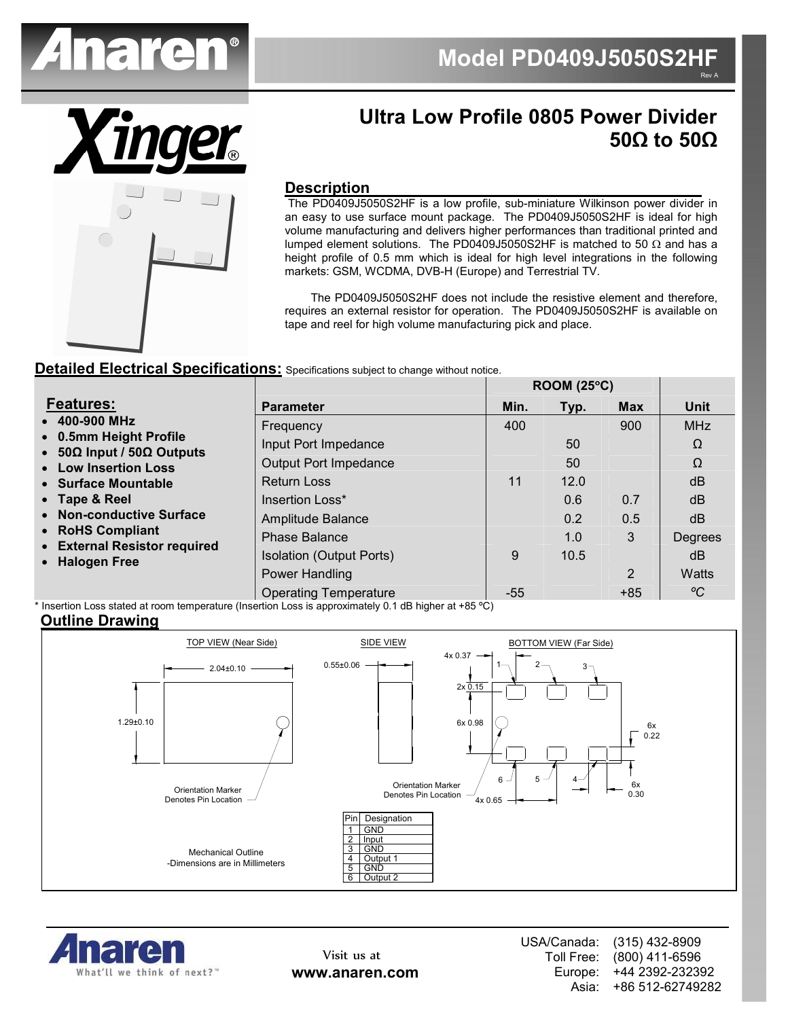

**ROOM (25**°**C)** 



## **Ultra Low Profile 0805 Power Divider 50Ω to 50Ω**

#### **Description**

 The PD0409J5050S2HF is a low profile, sub-miniature Wilkinson power divider in an easy to use surface mount package. The PD0409J5050S2HF is ideal for high volume manufacturing and delivers higher performances than traditional printed and lumped element solutions. The PD0409J5050S2HF is matched to 50  $\Omega$  and has a height profile of 0.5 mm which is ideal for high level integrations in the following markets: GSM, WCDMA, DVB-H (Europe) and Terrestrial TV.

 The PD0409J5050S2HF does not include the resistive element and therefore, requires an external resistor for operation. The PD0409J5050S2HF is available on tape and reel for high volume manufacturing pick and place.

#### **Detailed Electrical Specifications:** Specifications subject to change without notice.

|                                                                                              |                                 | KUUM (25°U) |      |                |             |
|----------------------------------------------------------------------------------------------|---------------------------------|-------------|------|----------------|-------------|
| <b>Features:</b>                                                                             | <b>Parameter</b>                | Min.        | Typ. | <b>Max</b>     | <b>Unit</b> |
| • 400-900 MHz<br>• 0.5mm Height Profile<br>• 50Ω Input / 50Ω Outputs<br>• Low Insertion Loss | Frequency                       | 400         |      | 900            | <b>MHz</b>  |
|                                                                                              | Input Port Impedance            |             | 50   |                | Ω           |
|                                                                                              | <b>Output Port Impedance</b>    |             | 50   |                | $\Omega$    |
| • Surface Mountable                                                                          | <b>Return Loss</b>              | 11          | 12.0 |                | dB          |
| • Tape & Reel                                                                                | Insertion Loss*                 |             | 0.6  | 0.7            | dB          |
| • Non-conductive Surface                                                                     | Amplitude Balance               |             | 0.2  | 0.5            | dB          |
| • RoHS Compliant<br>• External Resistor required<br>• Halogen Free                           | <b>Phase Balance</b>            |             | 1.0  | 3              | Degrees     |
|                                                                                              | <b>Isolation (Output Ports)</b> | 9           | 10.5 |                | dB          |
|                                                                                              | Power Handling                  |             |      | $\overline{2}$ | Watts       |
|                                                                                              | <b>Operating Temperature</b>    | $-55$       |      | $+85$          | $\rm ^oC$   |

\* Insertion Loss stated at room temperature (Insertion Loss is approximately 0.1 dB higher at +85 ºC)

#### **Outline Drawing**





Visit us at **www.anaren.com** USA/Canada: Toll Free: Europe: Asia: (315) 432-8909 (800) 411-6596 +44 2392-232392 +86 512-62749282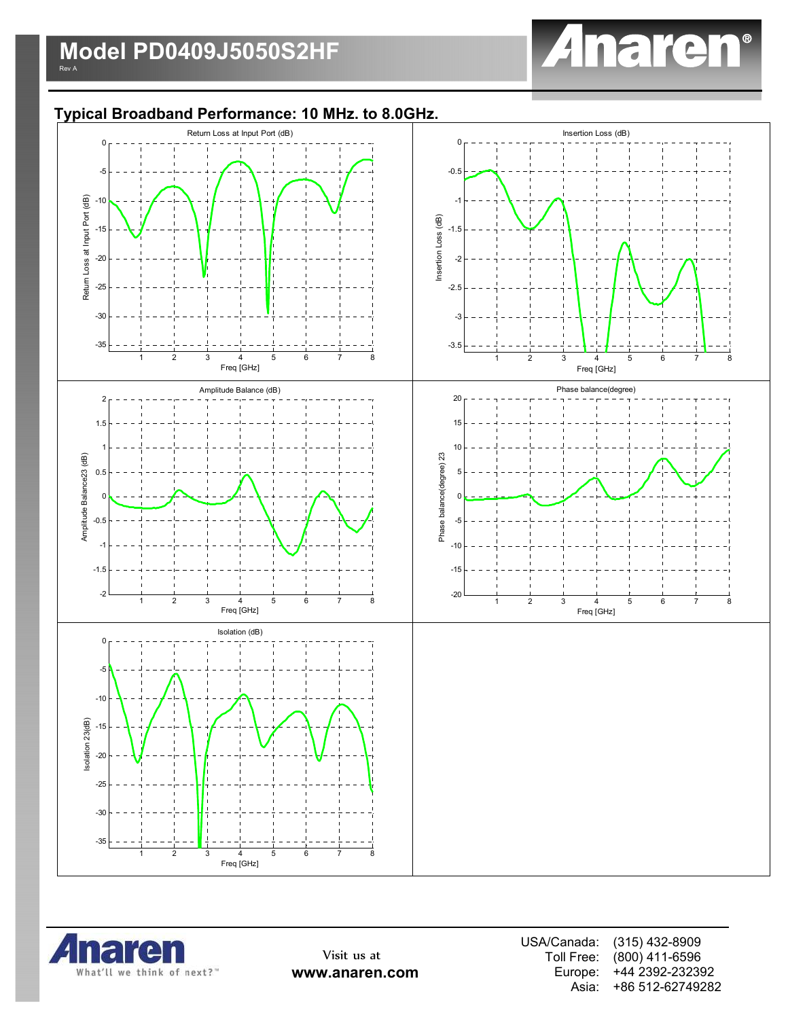

## **Typical Broadband Performance: 10 MHz. to 8.0GHz.**





Visit us at **www.anaren.com** USA/Canada: Toll Free: Europe: Asia: (315) 432-8909 (800) 411-6596 +44 2392-232392 +86 512-62749282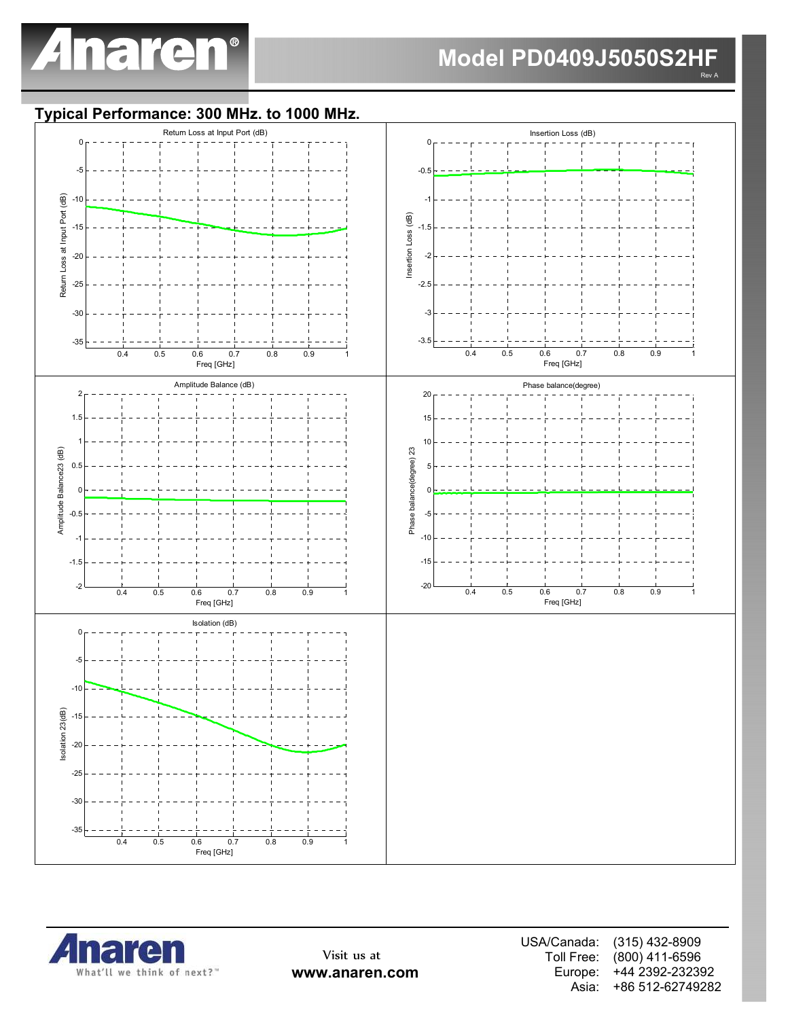

# **Model PD0409J5050S2HF**

Rev A

### **Typical Performance: 300 MHz. to 1000 MHz.**





Visit us at **www.anaren.com** USA/Canada: Toll Free: Europe: Asia: (315) 432-8909 (800) 411-6596 +44 2392-232392 +86 512-62749282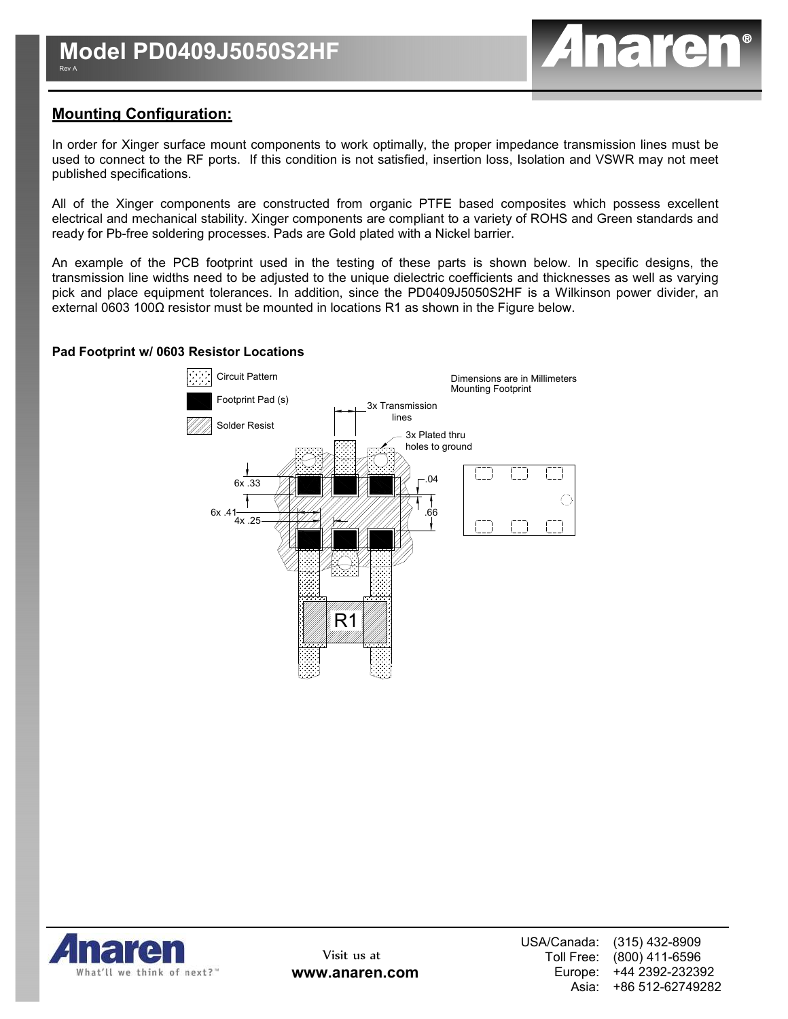

## **Mounting Configuration:**

In order for Xinger surface mount components to work optimally, the proper impedance transmission lines must be used to connect to the RF ports. If this condition is not satisfied, insertion loss, Isolation and VSWR may not meet published specifications.

All of the Xinger components are constructed from organic PTFE based composites which possess excellent electrical and mechanical stability. Xinger components are compliant to a variety of ROHS and Green standards and ready for Pb-free soldering processes. Pads are Gold plated with a Nickel barrier.

An example of the PCB footprint used in the testing of these parts is shown below. In specific designs, the transmission line widths need to be adjusted to the unique dielectric coefficients and thicknesses as well as varying pick and place equipment tolerances. In addition, since the PD0409J5050S2HF is a Wilkinson power divider, an external 0603 100Ω resistor must be mounted in locations R1 as shown in the Figure below.

#### **Pad Footprint w/ 0603 Resistor Locations**



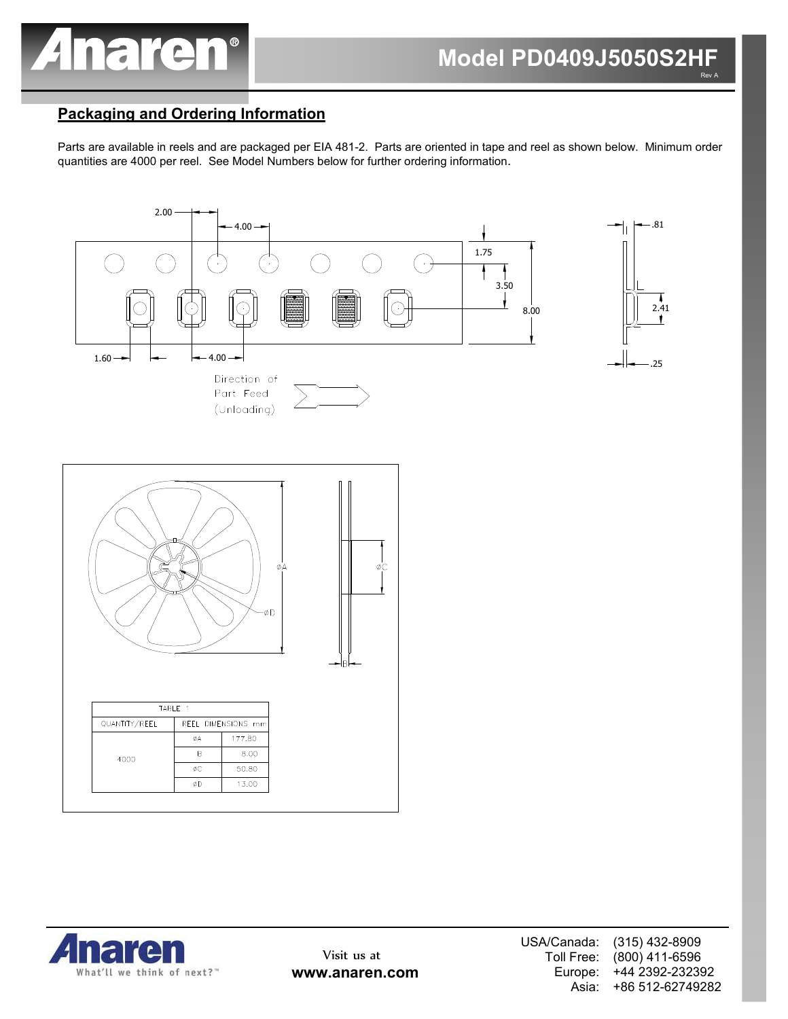

## **Packaging and Ordering Information**

Parts are available in reels and are packaged per EIA 481-2. Parts are oriented in tape and reel as shown below. Minimum order quantities are 4000 per reel. See Model Numbers below for further ordering information.